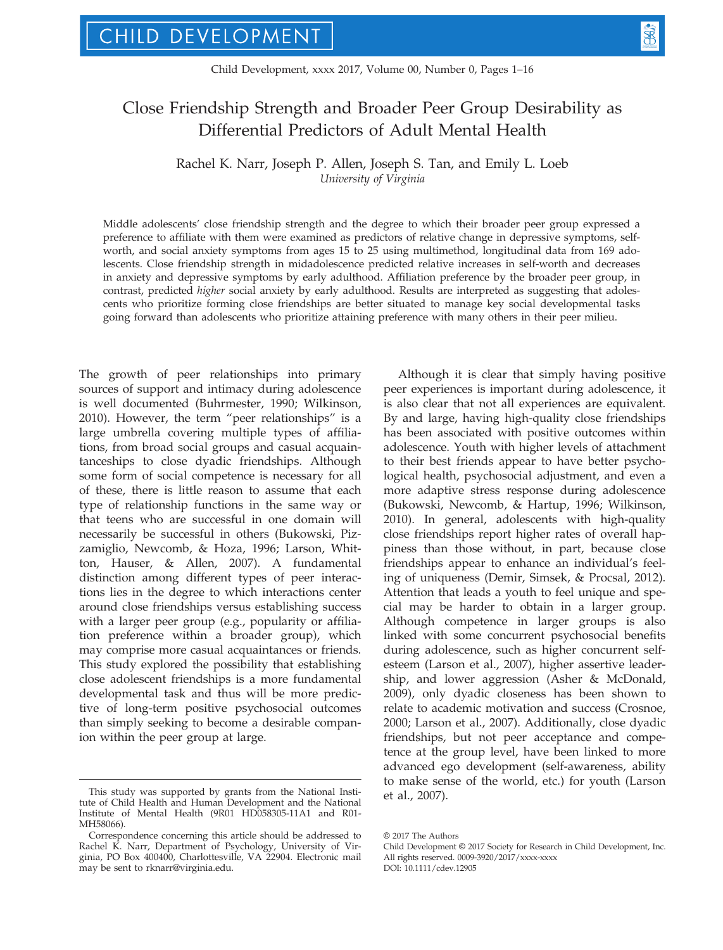# Close Friendship Strength and Broader Peer Group Desirability as Differential Predictors of Adult Mental Health

Rachel K. Narr, Joseph P. Allen, Joseph S. Tan, and Emily L. Loeb University of Virginia

Middle adolescents' close friendship strength and the degree to which their broader peer group expressed a preference to affiliate with them were examined as predictors of relative change in depressive symptoms, selfworth, and social anxiety symptoms from ages 15 to 25 using multimethod, longitudinal data from 169 adolescents. Close friendship strength in midadolescence predicted relative increases in self-worth and decreases in anxiety and depressive symptoms by early adulthood. Affiliation preference by the broader peer group, in contrast, predicted *higher* social anxiety by early adulthood. Results are interpreted as suggesting that adolescents who prioritize forming close friendships are better situated to manage key social developmental tasks going forward than adolescents who prioritize attaining preference with many others in their peer milieu.

The growth of peer relationships into primary sources of support and intimacy during adolescence is well documented (Buhrmester, 1990; Wilkinson, 2010). However, the term "peer relationships" is a large umbrella covering multiple types of affiliations, from broad social groups and casual acquaintanceships to close dyadic friendships. Although some form of social competence is necessary for all of these, there is little reason to assume that each type of relationship functions in the same way or that teens who are successful in one domain will necessarily be successful in others (Bukowski, Pizzamiglio, Newcomb, & Hoza, 1996; Larson, Whitton, Hauser, & Allen, 2007). A fundamental distinction among different types of peer interactions lies in the degree to which interactions center around close friendships versus establishing success with a larger peer group (e.g., popularity or affiliation preference within a broader group), which may comprise more casual acquaintances or friends. This study explored the possibility that establishing close adolescent friendships is a more fundamental developmental task and thus will be more predictive of long-term positive psychosocial outcomes than simply seeking to become a desirable companion within the peer group at large.

Although it is clear that simply having positive peer experiences is important during adolescence, it is also clear that not all experiences are equivalent. By and large, having high-quality close friendships has been associated with positive outcomes within adolescence. Youth with higher levels of attachment to their best friends appear to have better psychological health, psychosocial adjustment, and even a more adaptive stress response during adolescence (Bukowski, Newcomb, & Hartup, 1996; Wilkinson, 2010). In general, adolescents with high-quality close friendships report higher rates of overall happiness than those without, in part, because close friendships appear to enhance an individual's feeling of uniqueness (Demir, Simsek, & Procsal, 2012). Attention that leads a youth to feel unique and special may be harder to obtain in a larger group. Although competence in larger groups is also linked with some concurrent psychosocial benefits during adolescence, such as higher concurrent selfesteem (Larson et al., 2007), higher assertive leadership, and lower aggression (Asher & McDonald, 2009), only dyadic closeness has been shown to relate to academic motivation and success (Crosnoe, 2000; Larson et al., 2007). Additionally, close dyadic friendships, but not peer acceptance and competence at the group level, have been linked to more advanced ego development (self-awareness, ability to make sense of the world, etc.) for youth (Larson

This study was supported by grants from the National Insti-<br>the Child Health and Human Development and the National etc. 2007). tute of Child Health and Human Development and the National Institute of Mental Health (9R01 HD058305-11A1 and R01- MH58066).

Correspondence concerning this article should be addressed to Rachel K. Narr, Department of Psychology, University of Virginia, PO Box 400400, Charlottesville, VA 22904. Electronic mail may be sent to rknarr@virginia.edu.

<sup>©</sup> 2017 The Authors

Child Development © 2017 Society for Research in Child Development, Inc. All rights reserved. 0009-3920/2017/xxxx-xxxx DOI: 10.1111/cdev.12905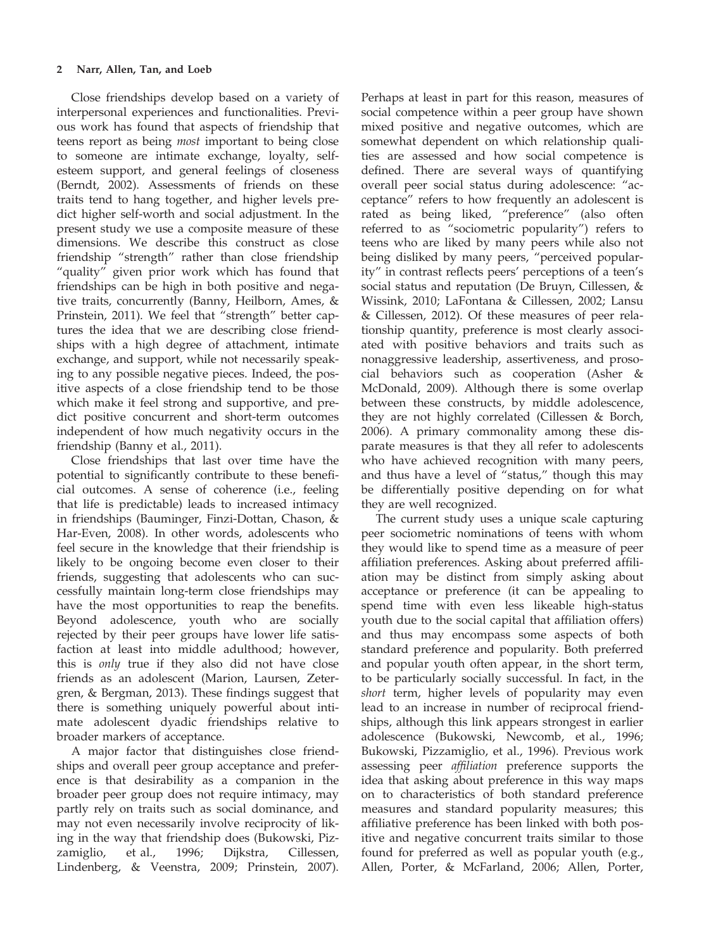Close friendships develop based on a variety of interpersonal experiences and functionalities. Previous work has found that aspects of friendship that teens report as being most important to being close to someone are intimate exchange, loyalty, selfesteem support, and general feelings of closeness (Berndt, 2002). Assessments of friends on these traits tend to hang together, and higher levels predict higher self-worth and social adjustment. In the present study we use a composite measure of these dimensions. We describe this construct as close friendship "strength" rather than close friendship "quality" given prior work which has found that friendships can be high in both positive and negative traits, concurrently (Banny, Heilborn, Ames, & Prinstein, 2011). We feel that "strength" better captures the idea that we are describing close friendships with a high degree of attachment, intimate exchange, and support, while not necessarily speaking to any possible negative pieces. Indeed, the positive aspects of a close friendship tend to be those which make it feel strong and supportive, and predict positive concurrent and short-term outcomes independent of how much negativity occurs in the friendship (Banny et al., 2011).

Close friendships that last over time have the potential to significantly contribute to these beneficial outcomes. A sense of coherence (i.e., feeling that life is predictable) leads to increased intimacy in friendships (Bauminger, Finzi-Dottan, Chason, & Har-Even, 2008). In other words, adolescents who feel secure in the knowledge that their friendship is likely to be ongoing become even closer to their friends, suggesting that adolescents who can successfully maintain long-term close friendships may have the most opportunities to reap the benefits. Beyond adolescence, youth who are socially rejected by their peer groups have lower life satisfaction at least into middle adulthood; however, this is only true if they also did not have close friends as an adolescent (Marion, Laursen, Zetergren, & Bergman, 2013). These findings suggest that there is something uniquely powerful about intimate adolescent dyadic friendships relative to broader markers of acceptance.

A major factor that distinguishes close friendships and overall peer group acceptance and preference is that desirability as a companion in the broader peer group does not require intimacy, may partly rely on traits such as social dominance, and may not even necessarily involve reciprocity of liking in the way that friendship does (Bukowski, Pizzamiglio, et al., 1996; Dijkstra, Cillessen, Lindenberg, & Veenstra, 2009; Prinstein, 2007).

Perhaps at least in part for this reason, measures of social competence within a peer group have shown mixed positive and negative outcomes, which are somewhat dependent on which relationship qualities are assessed and how social competence is defined. There are several ways of quantifying overall peer social status during adolescence: "acceptance" refers to how frequently an adolescent is rated as being liked, "preference" (also often referred to as "sociometric popularity") refers to teens who are liked by many peers while also not being disliked by many peers, "perceived popularity" in contrast reflects peers' perceptions of a teen's social status and reputation (De Bruyn, Cillessen, & Wissink, 2010; LaFontana & Cillessen, 2002; Lansu & Cillessen, 2012). Of these measures of peer relationship quantity, preference is most clearly associated with positive behaviors and traits such as nonaggressive leadership, assertiveness, and prosocial behaviors such as cooperation (Asher & McDonald, 2009). Although there is some overlap between these constructs, by middle adolescence, they are not highly correlated (Cillessen & Borch, 2006). A primary commonality among these disparate measures is that they all refer to adolescents who have achieved recognition with many peers, and thus have a level of "status," though this may be differentially positive depending on for what they are well recognized.

The current study uses a unique scale capturing peer sociometric nominations of teens with whom they would like to spend time as a measure of peer affiliation preferences. Asking about preferred affiliation may be distinct from simply asking about acceptance or preference (it can be appealing to spend time with even less likeable high-status youth due to the social capital that affiliation offers) and thus may encompass some aspects of both standard preference and popularity. Both preferred and popular youth often appear, in the short term, to be particularly socially successful. In fact, in the short term, higher levels of popularity may even lead to an increase in number of reciprocal friendships, although this link appears strongest in earlier adolescence (Bukowski, Newcomb, et al., 1996; Bukowski, Pizzamiglio, et al., 1996). Previous work assessing peer affiliation preference supports the idea that asking about preference in this way maps on to characteristics of both standard preference measures and standard popularity measures; this affiliative preference has been linked with both positive and negative concurrent traits similar to those found for preferred as well as popular youth (e.g., Allen, Porter, & McFarland, 2006; Allen, Porter,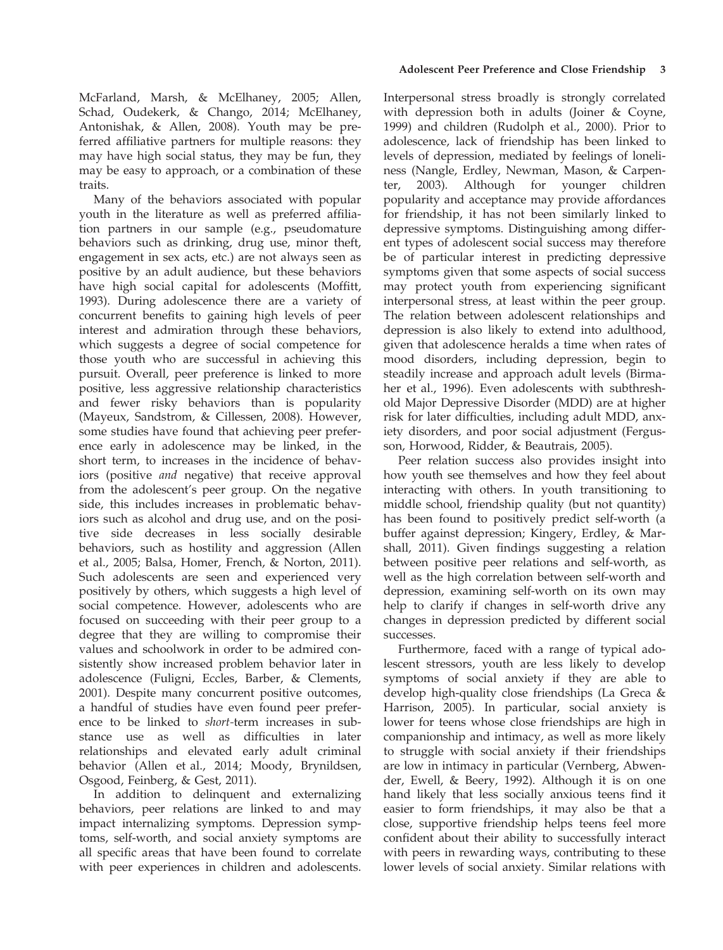McFarland, Marsh, & McElhaney, 2005; Allen, Schad, Oudekerk, & Chango, 2014; McElhaney, Antonishak, & Allen, 2008). Youth may be preferred affiliative partners for multiple reasons: they may have high social status, they may be fun, they may be easy to approach, or a combination of these traits.

Many of the behaviors associated with popular youth in the literature as well as preferred affiliation partners in our sample (e.g., pseudomature behaviors such as drinking, drug use, minor theft, engagement in sex acts, etc.) are not always seen as positive by an adult audience, but these behaviors have high social capital for adolescents (Moffitt, 1993). During adolescence there are a variety of concurrent benefits to gaining high levels of peer interest and admiration through these behaviors, which suggests a degree of social competence for those youth who are successful in achieving this pursuit. Overall, peer preference is linked to more positive, less aggressive relationship characteristics and fewer risky behaviors than is popularity (Mayeux, Sandstrom, & Cillessen, 2008). However, some studies have found that achieving peer preference early in adolescence may be linked, in the short term, to increases in the incidence of behaviors (positive and negative) that receive approval from the adolescent's peer group. On the negative side, this includes increases in problematic behaviors such as alcohol and drug use, and on the positive side decreases in less socially desirable behaviors, such as hostility and aggression (Allen et al., 2005; Balsa, Homer, French, & Norton, 2011). Such adolescents are seen and experienced very positively by others, which suggests a high level of social competence. However, adolescents who are focused on succeeding with their peer group to a degree that they are willing to compromise their values and schoolwork in order to be admired consistently show increased problem behavior later in adolescence (Fuligni, Eccles, Barber, & Clements, 2001). Despite many concurrent positive outcomes, a handful of studies have even found peer preference to be linked to short-term increases in substance use as well as difficulties in later relationships and elevated early adult criminal behavior (Allen et al., 2014; Moody, Brynildsen, Osgood, Feinberg, & Gest, 2011).

In addition to delinquent and externalizing behaviors, peer relations are linked to and may impact internalizing symptoms. Depression symptoms, self-worth, and social anxiety symptoms are all specific areas that have been found to correlate with peer experiences in children and adolescents.

Interpersonal stress broadly is strongly correlated with depression both in adults (Joiner & Coyne, 1999) and children (Rudolph et al., 2000). Prior to adolescence, lack of friendship has been linked to levels of depression, mediated by feelings of loneliness (Nangle, Erdley, Newman, Mason, & Carpenter, 2003). Although for younger children popularity and acceptance may provide affordances for friendship, it has not been similarly linked to depressive symptoms. Distinguishing among different types of adolescent social success may therefore be of particular interest in predicting depressive symptoms given that some aspects of social success may protect youth from experiencing significant interpersonal stress, at least within the peer group. The relation between adolescent relationships and depression is also likely to extend into adulthood, given that adolescence heralds a time when rates of mood disorders, including depression, begin to steadily increase and approach adult levels (Birmaher et al., 1996). Even adolescents with subthreshold Major Depressive Disorder (MDD) are at higher risk for later difficulties, including adult MDD, anxiety disorders, and poor social adjustment (Fergusson, Horwood, Ridder, & Beautrais, 2005).

Peer relation success also provides insight into how youth see themselves and how they feel about interacting with others. In youth transitioning to middle school, friendship quality (but not quantity) has been found to positively predict self-worth (a buffer against depression; Kingery, Erdley, & Marshall, 2011). Given findings suggesting a relation between positive peer relations and self-worth, as well as the high correlation between self-worth and depression, examining self-worth on its own may help to clarify if changes in self-worth drive any changes in depression predicted by different social successes.

Furthermore, faced with a range of typical adolescent stressors, youth are less likely to develop symptoms of social anxiety if they are able to develop high-quality close friendships (La Greca & Harrison, 2005). In particular, social anxiety is lower for teens whose close friendships are high in companionship and intimacy, as well as more likely to struggle with social anxiety if their friendships are low in intimacy in particular (Vernberg, Abwender, Ewell, & Beery, 1992). Although it is on one hand likely that less socially anxious teens find it easier to form friendships, it may also be that a close, supportive friendship helps teens feel more confident about their ability to successfully interact with peers in rewarding ways, contributing to these lower levels of social anxiety. Similar relations with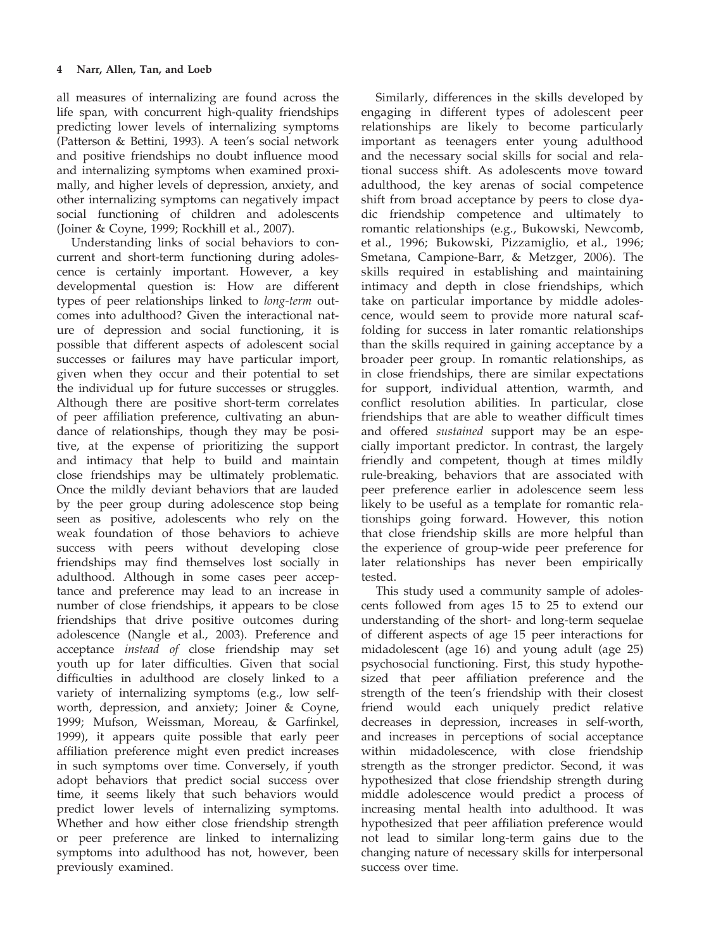all measures of internalizing are found across the life span, with concurrent high-quality friendships predicting lower levels of internalizing symptoms (Patterson & Bettini, 1993). A teen's social network and positive friendships no doubt influence mood and internalizing symptoms when examined proximally, and higher levels of depression, anxiety, and other internalizing symptoms can negatively impact social functioning of children and adolescents (Joiner & Coyne, 1999; Rockhill et al., 2007).

Understanding links of social behaviors to concurrent and short-term functioning during adolescence is certainly important. However, a key developmental question is: How are different types of peer relationships linked to long-term outcomes into adulthood? Given the interactional nature of depression and social functioning, it is possible that different aspects of adolescent social successes or failures may have particular import, given when they occur and their potential to set the individual up for future successes or struggles. Although there are positive short-term correlates of peer affiliation preference, cultivating an abundance of relationships, though they may be positive, at the expense of prioritizing the support and intimacy that help to build and maintain close friendships may be ultimately problematic. Once the mildly deviant behaviors that are lauded by the peer group during adolescence stop being seen as positive, adolescents who rely on the weak foundation of those behaviors to achieve success with peers without developing close friendships may find themselves lost socially in adulthood. Although in some cases peer acceptance and preference may lead to an increase in number of close friendships, it appears to be close friendships that drive positive outcomes during adolescence (Nangle et al., 2003). Preference and acceptance instead of close friendship may set youth up for later difficulties. Given that social difficulties in adulthood are closely linked to a variety of internalizing symptoms (e.g., low selfworth, depression, and anxiety; Joiner & Coyne, 1999; Mufson, Weissman, Moreau, & Garfinkel, 1999), it appears quite possible that early peer affiliation preference might even predict increases in such symptoms over time. Conversely, if youth adopt behaviors that predict social success over time, it seems likely that such behaviors would predict lower levels of internalizing symptoms. Whether and how either close friendship strength or peer preference are linked to internalizing symptoms into adulthood has not, however, been previously examined.

Similarly, differences in the skills developed by engaging in different types of adolescent peer relationships are likely to become particularly important as teenagers enter young adulthood and the necessary social skills for social and relational success shift. As adolescents move toward adulthood, the key arenas of social competence shift from broad acceptance by peers to close dyadic friendship competence and ultimately to romantic relationships (e.g., Bukowski, Newcomb, et al., 1996; Bukowski, Pizzamiglio, et al., 1996; Smetana, Campione-Barr, & Metzger, 2006). The skills required in establishing and maintaining intimacy and depth in close friendships, which take on particular importance by middle adolescence, would seem to provide more natural scaffolding for success in later romantic relationships than the skills required in gaining acceptance by a broader peer group. In romantic relationships, as in close friendships, there are similar expectations for support, individual attention, warmth, and conflict resolution abilities. In particular, close friendships that are able to weather difficult times and offered sustained support may be an especially important predictor. In contrast, the largely friendly and competent, though at times mildly rule-breaking, behaviors that are associated with peer preference earlier in adolescence seem less likely to be useful as a template for romantic relationships going forward. However, this notion that close friendship skills are more helpful than the experience of group-wide peer preference for later relationships has never been empirically tested.

This study used a community sample of adolescents followed from ages 15 to 25 to extend our understanding of the short- and long-term sequelae of different aspects of age 15 peer interactions for midadolescent (age 16) and young adult (age 25) psychosocial functioning. First, this study hypothesized that peer affiliation preference and the strength of the teen's friendship with their closest friend would each uniquely predict relative decreases in depression, increases in self-worth, and increases in perceptions of social acceptance within midadolescence, with close friendship strength as the stronger predictor. Second, it was hypothesized that close friendship strength during middle adolescence would predict a process of increasing mental health into adulthood. It was hypothesized that peer affiliation preference would not lead to similar long-term gains due to the changing nature of necessary skills for interpersonal success over time.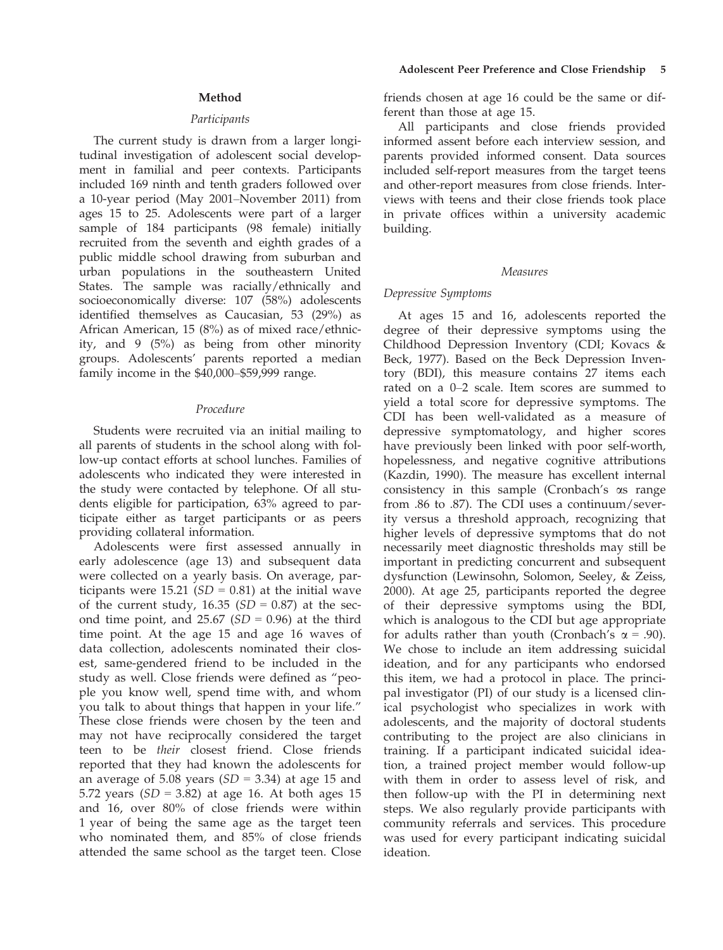## Method

#### **Participants**

The current study is drawn from a larger longitudinal investigation of adolescent social development in familial and peer contexts. Participants included 169 ninth and tenth graders followed over a 10-year period (May 2001–November 2011) from ages 15 to 25. Adolescents were part of a larger sample of 184 participants (98 female) initially recruited from the seventh and eighth grades of a public middle school drawing from suburban and urban populations in the southeastern United States. The sample was racially/ethnically and socioeconomically diverse: 107 (58%) adolescents identified themselves as Caucasian, 53 (29%) as African American, 15 (8%) as of mixed race/ethnicity, and 9 (5%) as being from other minority groups. Adolescents' parents reported a median family income in the \$40,000–\$59,999 range.

## Procedure

Students were recruited via an initial mailing to all parents of students in the school along with follow-up contact efforts at school lunches. Families of adolescents who indicated they were interested in the study were contacted by telephone. Of all students eligible for participation, 63% agreed to participate either as target participants or as peers providing collateral information.

Adolescents were first assessed annually in early adolescence (age 13) and subsequent data were collected on a yearly basis. On average, participants were  $15.21$  (*SD* = 0.81) at the initial wave of the current study,  $16.35$  (SD = 0.87) at the second time point, and  $25.67$  (SD = 0.96) at the third time point. At the age 15 and age 16 waves of data collection, adolescents nominated their closest, same-gendered friend to be included in the study as well. Close friends were defined as "people you know well, spend time with, and whom you talk to about things that happen in your life." These close friends were chosen by the teen and may not have reciprocally considered the target teen to be their closest friend. Close friends reported that they had known the adolescents for an average of 5.08 years  $(SD = 3.34)$  at age 15 and 5.72 years  $(SD = 3.82)$  at age 16. At both ages 15 and 16, over 80% of close friends were within 1 year of being the same age as the target teen who nominated them, and 85% of close friends attended the same school as the target teen. Close

friends chosen at age 16 could be the same or different than those at age 15.

All participants and close friends provided informed assent before each interview session, and parents provided informed consent. Data sources included self-report measures from the target teens and other-report measures from close friends. Interviews with teens and their close friends took place in private offices within a university academic building.

#### Measures

#### Depressive Symptoms

At ages 15 and 16, adolescents reported the degree of their depressive symptoms using the Childhood Depression Inventory (CDI; Kovacs & Beck, 1977). Based on the Beck Depression Inventory (BDI), this measure contains 27 items each rated on a 0–2 scale. Item scores are summed to yield a total score for depressive symptoms. The CDI has been well-validated as a measure of depressive symptomatology, and higher scores have previously been linked with poor self-worth, hopelessness, and negative cognitive attributions (Kazdin, 1990). The measure has excellent internal consistency in this sample (Cronbach's as range from .86 to .87). The CDI uses a continuum/severity versus a threshold approach, recognizing that higher levels of depressive symptoms that do not necessarily meet diagnostic thresholds may still be important in predicting concurrent and subsequent dysfunction (Lewinsohn, Solomon, Seeley, & Zeiss, 2000). At age 25, participants reported the degree of their depressive symptoms using the BDI, which is analogous to the CDI but age appropriate for adults rather than youth (Cronbach's  $\alpha$  = .90). We chose to include an item addressing suicidal ideation, and for any participants who endorsed this item, we had a protocol in place. The principal investigator (PI) of our study is a licensed clinical psychologist who specializes in work with adolescents, and the majority of doctoral students contributing to the project are also clinicians in training. If a participant indicated suicidal ideation, a trained project member would follow-up with them in order to assess level of risk, and then follow-up with the PI in determining next steps. We also regularly provide participants with community referrals and services. This procedure was used for every participant indicating suicidal ideation.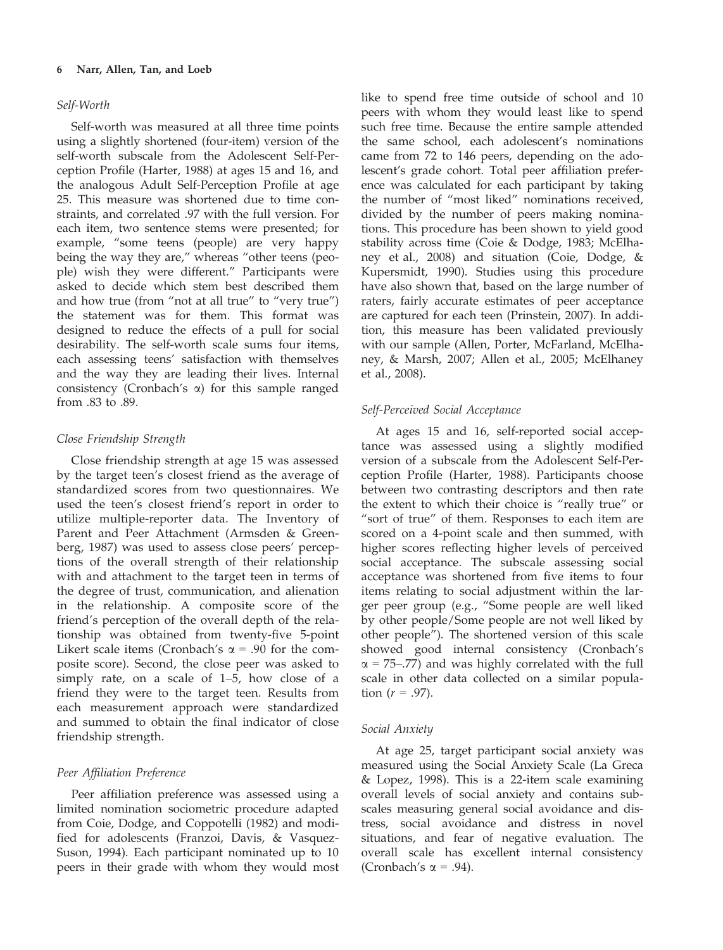## 6 Narr, Allen, Tan, and Loeb

## Self-Worth

Self-worth was measured at all three time points using a slightly shortened (four-item) version of the self-worth subscale from the Adolescent Self-Perception Profile (Harter, 1988) at ages 15 and 16, and the analogous Adult Self-Perception Profile at age 25. This measure was shortened due to time constraints, and correlated .97 with the full version. For each item, two sentence stems were presented; for example, "some teens (people) are very happy being the way they are," whereas "other teens (people) wish they were different." Participants were asked to decide which stem best described them and how true (from "not at all true" to "very true") the statement was for them. This format was designed to reduce the effects of a pull for social desirability. The self-worth scale sums four items, each assessing teens' satisfaction with themselves and the way they are leading their lives. Internal consistency (Cronbach's  $\alpha$ ) for this sample ranged from .83 to .89.

## Close Friendship Strength

Close friendship strength at age 15 was assessed by the target teen's closest friend as the average of standardized scores from two questionnaires. We used the teen's closest friend's report in order to utilize multiple-reporter data. The Inventory of Parent and Peer Attachment (Armsden & Greenberg, 1987) was used to assess close peers' perceptions of the overall strength of their relationship with and attachment to the target teen in terms of the degree of trust, communication, and alienation in the relationship. A composite score of the friend's perception of the overall depth of the relationship was obtained from twenty-five 5-point Likert scale items (Cronbach's  $\alpha$  = .90 for the composite score). Second, the close peer was asked to simply rate, on a scale of 1–5, how close of a friend they were to the target teen. Results from each measurement approach were standardized and summed to obtain the final indicator of close friendship strength.

# Peer Affiliation Preference

Peer affiliation preference was assessed using a limited nomination sociometric procedure adapted from Coie, Dodge, and Coppotelli (1982) and modified for adolescents (Franzoi, Davis, & Vasquez-Suson, 1994). Each participant nominated up to 10 peers in their grade with whom they would most like to spend free time outside of school and 10 peers with whom they would least like to spend such free time. Because the entire sample attended the same school, each adolescent's nominations came from 72 to 146 peers, depending on the adolescent's grade cohort. Total peer affiliation preference was calculated for each participant by taking the number of "most liked" nominations received, divided by the number of peers making nominations. This procedure has been shown to yield good stability across time (Coie & Dodge, 1983; McElhaney et al., 2008) and situation (Coie, Dodge, & Kupersmidt, 1990). Studies using this procedure have also shown that, based on the large number of raters, fairly accurate estimates of peer acceptance are captured for each teen (Prinstein, 2007). In addition, this measure has been validated previously with our sample (Allen, Porter, McFarland, McElhaney, & Marsh, 2007; Allen et al., 2005; McElhaney et al., 2008).

## Self-Perceived Social Acceptance

At ages 15 and 16, self-reported social acceptance was assessed using a slightly modified version of a subscale from the Adolescent Self-Perception Profile (Harter, 1988). Participants choose between two contrasting descriptors and then rate the extent to which their choice is "really true" or "sort of true" of them. Responses to each item are scored on a 4-point scale and then summed, with higher scores reflecting higher levels of perceived social acceptance. The subscale assessing social acceptance was shortened from five items to four items relating to social adjustment within the larger peer group (e.g., "Some people are well liked by other people/Some people are not well liked by other people"). The shortened version of this scale showed good internal consistency (Cronbach's  $\alpha$  = 75–.77) and was highly correlated with the full scale in other data collected on a similar population ( $r = .97$ ).

## Social Anxiety

At age 25, target participant social anxiety was measured using the Social Anxiety Scale (La Greca & Lopez, 1998). This is a 22-item scale examining overall levels of social anxiety and contains subscales measuring general social avoidance and distress, social avoidance and distress in novel situations, and fear of negative evaluation. The overall scale has excellent internal consistency (Cronbach's  $\alpha$  = .94).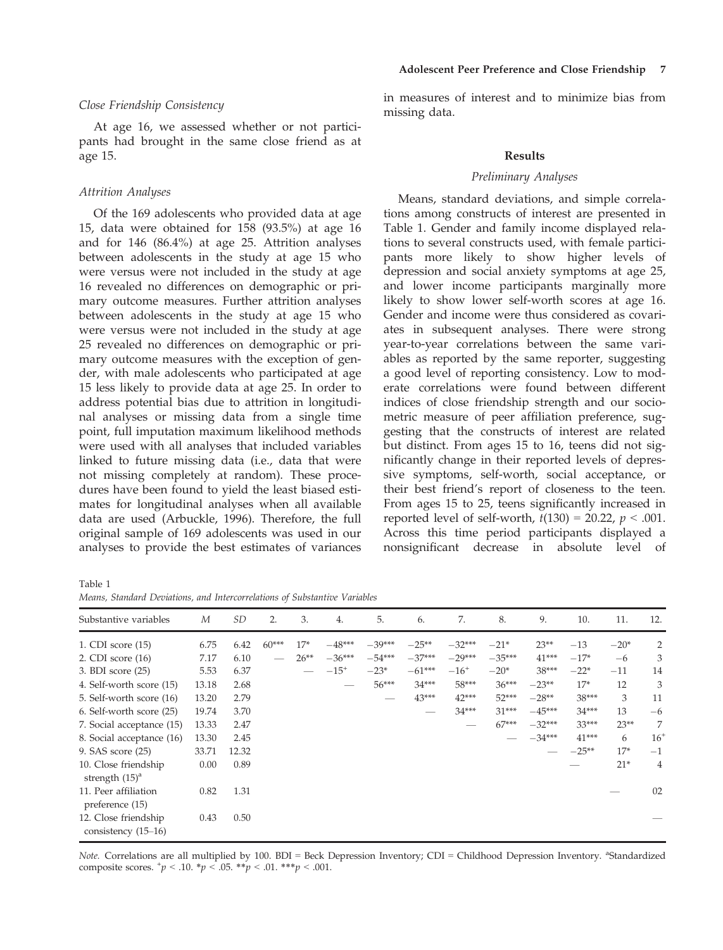#### Close Friendship Consistency

At age 16, we assessed whether or not participants had brought in the same close friend as at age 15.

### Attrition Analyses

Of the 169 adolescents who provided data at age 15, data were obtained for 158 (93.5%) at age 16 and for 146 (86.4%) at age 25. Attrition analyses between adolescents in the study at age 15 who were versus were not included in the study at age 16 revealed no differences on demographic or primary outcome measures. Further attrition analyses between adolescents in the study at age 15 who were versus were not included in the study at age 25 revealed no differences on demographic or primary outcome measures with the exception of gender, with male adolescents who participated at age 15 less likely to provide data at age 25. In order to address potential bias due to attrition in longitudinal analyses or missing data from a single time point, full imputation maximum likelihood methods were used with all analyses that included variables linked to future missing data (i.e., data that were not missing completely at random). These procedures have been found to yield the least biased estimates for longitudinal analyses when all available data are used (Arbuckle, 1996). Therefore, the full original sample of 169 adolescents was used in our analyses to provide the best estimates of variances

in measures of interest and to minimize bias from missing data.

#### Results

## Preliminary Analyses

Means, standard deviations, and simple correlations among constructs of interest are presented in Table 1. Gender and family income displayed relations to several constructs used, with female participants more likely to show higher levels of depression and social anxiety symptoms at age 25, and lower income participants marginally more likely to show lower self-worth scores at age 16. Gender and income were thus considered as covariates in subsequent analyses. There were strong year-to-year correlations between the same variables as reported by the same reporter, suggesting a good level of reporting consistency. Low to moderate correlations were found between different indices of close friendship strength and our sociometric measure of peer affiliation preference, suggesting that the constructs of interest are related but distinct. From ages 15 to 16, teens did not significantly change in their reported levels of depressive symptoms, self-worth, social acceptance, or their best friend's report of closeness to the teen. From ages 15 to 25, teens significantly increased in reported level of self-worth,  $t(130) = 20.22$ ,  $p < .001$ . Across this time period participants displayed a nonsignificant decrease in absolute level of

Table 1 Means, Standard Deviations, and Intercorrelations of Substantive Variables

| Substantive variables                         | $\boldsymbol{M}$ | SD    | 2.      | 3.     | 4.        | 5.       | 6.       | 7.        | 8.       | 9.       | 10.     | 11.    | 12.   |
|-----------------------------------------------|------------------|-------|---------|--------|-----------|----------|----------|-----------|----------|----------|---------|--------|-------|
| 1. CDI score (15)                             | 6.75             | 6.42  | $60***$ | $17*$  | $-48***$  | $-39***$ | $-25**$  | $-32***$  | $-21*$   | $23**$   | $-13$   | $-20*$ | 2     |
| 2. CDI score $(16)$                           | 7.17             | 6.10  |         | $26**$ | $-36***$  | $-54***$ | $-37***$ | $-29***$  | $-35***$ | $41***$  | $-17*$  | $-6$   | 3     |
| 3. BDI score (25)                             | 5.53             | 6.37  |         |        | $-15^{+}$ | $-23*$   | $-61***$ | $-16^{+}$ | $-20*$   | 38***    | $-22*$  | $-11$  | 14    |
| 4. Self-worth score (15)                      | 13.18            | 2.68  |         |        |           | 56***    | $34***$  | 58***     | $36***$  | $-23**$  | $17*$   | 12     | 3     |
| 5. Self-worth score (16)                      | 13.20            | 2.79  |         |        |           |          | $43***$  | $42***$   | $52***$  | $-28**$  | 38***   | 3      | 11    |
| 6. Self-worth score (25)                      | 19.74            | 3.70  |         |        |           |          |          | $34***$   | $31***$  | $-45***$ | $34***$ | 13     | $-6$  |
| 7. Social acceptance (15)                     | 13.33            | 2.47  |         |        |           |          |          |           | $67***$  | $-32***$ | $33***$ | $23**$ | 7     |
| 8. Social acceptance (16)                     | 13.30            | 2.45  |         |        |           |          |          |           |          | $-34***$ | $41***$ | 6      | $16+$ |
| 9. SAS score (25)                             | 33.71            | 12.32 |         |        |           |          |          |           |          |          | $-25**$ | $17*$  | $-1$  |
| 10. Close friendship<br>strength $(15)^a$     | 0.00             | 0.89  |         |        |           |          |          |           |          |          |         | $21*$  | 4     |
| 11. Peer affiliation<br>preference (15)       | 0.82             | 1.31  |         |        |           |          |          |           |          |          |         |        | 02    |
| 12. Close friendship<br>consistency $(15-16)$ | 0.43             | 0.50  |         |        |           |          |          |           |          |          |         |        |       |

Note. Correlations are all multiplied by 100. BDI = Beck Depression Inventory; CDI = Childhood Depression Inventory. <sup>a</sup>Standardized composite scores.  $^{\ast}p < .10.$   $^{\ast}p < .05.$   $^{\ast\ast}p < .01.$   $^{\ast\ast\ast}p < .001.$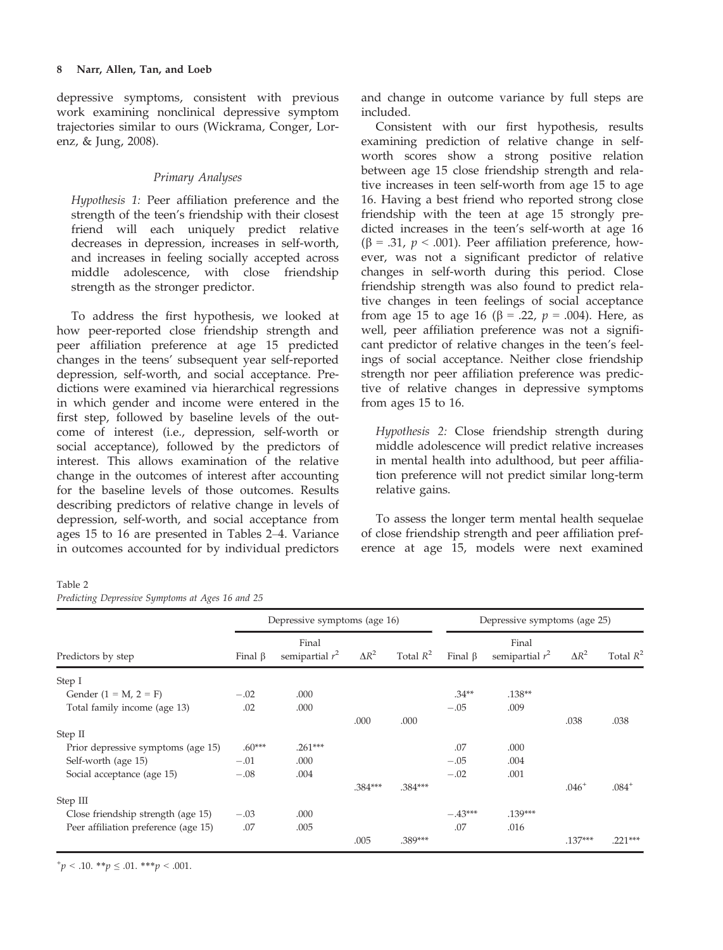depressive symptoms, consistent with previous work examining nonclinical depressive symptom trajectories similar to ours (Wickrama, Conger, Lorenz, & Jung, 2008).

# Primary Analyses

Hypothesis 1: Peer affiliation preference and the strength of the teen's friendship with their closest friend will each uniquely predict relative decreases in depression, increases in self-worth, and increases in feeling socially accepted across middle adolescence, with close friendship strength as the stronger predictor.

To address the first hypothesis, we looked at how peer-reported close friendship strength and peer affiliation preference at age 15 predicted changes in the teens' subsequent year self-reported depression, self-worth, and social acceptance. Predictions were examined via hierarchical regressions in which gender and income were entered in the first step, followed by baseline levels of the outcome of interest (i.e., depression, self-worth or social acceptance), followed by the predictors of interest. This allows examination of the relative change in the outcomes of interest after accounting for the baseline levels of those outcomes. Results describing predictors of relative change in levels of depression, self-worth, and social acceptance from ages 15 to 16 are presented in Tables 2–4. Variance in outcomes accounted for by individual predictors

and change in outcome variance by full steps are included.

Consistent with our first hypothesis, results examining prediction of relative change in selfworth scores show a strong positive relation between age 15 close friendship strength and relative increases in teen self-worth from age 15 to age 16. Having a best friend who reported strong close friendship with the teen at age 15 strongly predicted increases in the teen's self-worth at age 16 ( $\beta$  = .31,  $p$  < .001). Peer affiliation preference, however, was not a significant predictor of relative changes in self-worth during this period. Close friendship strength was also found to predict relative changes in teen feelings of social acceptance from age 15 to age 16 ( $\beta$  = .22,  $p$  = .004). Here, as well, peer affiliation preference was not a significant predictor of relative changes in the teen's feelings of social acceptance. Neither close friendship strength nor peer affiliation preference was predictive of relative changes in depressive symptoms from ages 15 to 16.

Hypothesis 2: Close friendship strength during middle adolescence will predict relative increases in mental health into adulthood, but peer affiliation preference will not predict similar long-term relative gains.

To assess the longer term mental health sequelae of close friendship strength and peer affiliation preference at age 15, models were next examined

| Table 2                                          |  |
|--------------------------------------------------|--|
| Predicting Depressive Symptoms at Ages 16 and 25 |  |

|                                      |                                             | Depressive symptoms (age 16) |              |             | Depressive symptoms (age 25) |                            |              |             |  |
|--------------------------------------|---------------------------------------------|------------------------------|--------------|-------------|------------------------------|----------------------------|--------------|-------------|--|
| Predictors by step                   | Final<br>semipartial $r^2$<br>Final $\beta$ |                              | $\Delta R^2$ | Total $R^2$ | Final $\beta$                | Final<br>semipartial $r^2$ | $\Delta R^2$ | Total $R^2$ |  |
| Step I                               |                                             |                              |              |             |                              |                            |              |             |  |
| Gender $(1 = M, 2 = F)$              | $-.02$                                      | .000                         |              |             | $.34**$                      | $.138**$                   |              |             |  |
| Total family income (age 13)         | .02                                         | .000                         |              |             | $-.05$                       | .009                       |              |             |  |
|                                      |                                             |                              | .000         | .000        |                              |                            | .038         | .038        |  |
| Step II                              |                                             |                              |              |             |                              |                            |              |             |  |
| Prior depressive symptoms (age 15)   | $.60***$                                    | $.261***$                    |              |             | .07                          | .000                       |              |             |  |
| Self-worth (age 15)                  | $-.01$                                      | .000                         |              |             | $-.05$                       | .004                       |              |             |  |
| Social acceptance (age 15)           | $-.08$                                      | .004                         |              |             | $-.02$                       | .001                       |              |             |  |
|                                      |                                             |                              | .384***      | .384***     |                              |                            | $.046+$      | $.084^{+}$  |  |
| Step III                             |                                             |                              |              |             |                              |                            |              |             |  |
| Close friendship strength (age 15)   | $-.03$                                      | .000                         |              |             | $-.43***$                    | .139***                    |              |             |  |
| Peer affiliation preference (age 15) | .07                                         | .005                         |              |             | .07                          | .016                       |              |             |  |
|                                      |                                             |                              | .005         | .389***     |                              |                            | $.137***$    | $.221***$   |  |

 $^{\ast}p < .10. \ ^{\ast\ast}p \le .01. \ ^{\ast\ast\ast}p < .001.$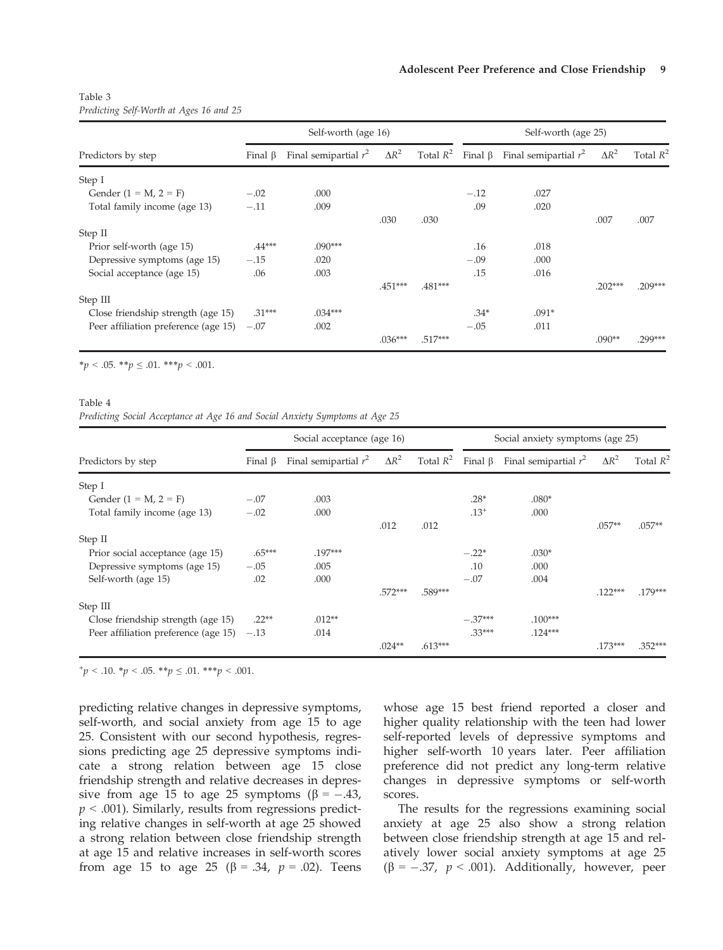|                                      |               | Self-worth (age 16)     |              | Self-worth (age 25) |        |                                                   |              |             |
|--------------------------------------|---------------|-------------------------|--------------|---------------------|--------|---------------------------------------------------|--------------|-------------|
| Predictors by step                   | Final $\beta$ | Final semipartial $r^2$ | $\Delta R^2$ |                     |        | Total $R^2$ Final $\beta$ Final semipartial $r^2$ | $\Delta R^2$ | Total $R^2$ |
| Step I                               |               |                         |              |                     |        |                                                   |              |             |
| Gender $(1 = M, 2 = F)$              | $-.02$        | .000                    |              |                     | $-.12$ | .027                                              |              |             |
| Total family income (age 13)         | $-.11$        | .009                    |              |                     | .09    | .020                                              |              |             |
|                                      |               |                         | .030         | .030                |        |                                                   | .007         | .007        |
| Step II                              |               |                         |              |                     |        |                                                   |              |             |
| Prior self-worth (age 15)            | $.44***$      | $.090***$               |              |                     | .16    | .018                                              |              |             |
| Depressive symptoms (age 15)         | $-.15$        | .020                    |              |                     | $-.09$ | .000                                              |              |             |
| Social acceptance (age 15)           | .06           | .003                    |              |                     | .15    | .016                                              |              |             |
|                                      |               |                         | $.451***$    | .481***             |        |                                                   | $.202***$    | $.209***$   |
| Step III                             |               |                         |              |                     |        |                                                   |              |             |
| Close friendship strength (age 15)   | $.31***$      | $.034***$               |              |                     | $.34*$ | $.091*$                                           |              |             |
| Peer affiliation preference (age 15) | $-.07$        | .002                    |              |                     | $-.05$ | .011                                              |              |             |
|                                      |               |                         | $.036***$    | .517***             |        |                                                   | $.090**$     | $.299***$   |

# Table 3 Predicting Self-Worth at Ages 16 and 25

\*p < .05. \*\*p  $\leq$  .01. \*\*\*p < .001.

#### Table 4

Predicting Social Acceptance at Age 16 and Social Anxiety Symptoms at Age 25

|                                                |               | Social acceptance (age 16) |              | Social anxiety symptoms (age 25) |           |                                                   |              |             |
|------------------------------------------------|---------------|----------------------------|--------------|----------------------------------|-----------|---------------------------------------------------|--------------|-------------|
| Predictors by step                             | Final $\beta$ | Final semipartial $r^2$    | $\Delta R^2$ |                                  |           | Total $R^2$ Final $\beta$ Final semipartial $r^2$ | $\Delta R^2$ | Total $R^2$ |
| Step I                                         |               |                            |              |                                  |           |                                                   |              |             |
| Gender $(1 = M, 2 = F)$                        | $-.07$        | .003                       |              |                                  | $.28*$    | $.080*$                                           |              |             |
| Total family income (age 13)                   | $-.02$        | .000                       |              |                                  | $.13^{+}$ | .000                                              |              |             |
|                                                |               |                            | .012         | .012                             |           |                                                   | $.057**$     | $.057**$    |
| Step II                                        |               |                            |              |                                  |           |                                                   |              |             |
| Prior social acceptance (age 15)               | $.65***$      | .197***                    |              |                                  | $-.22*$   | $.030*$                                           |              |             |
| Depressive symptoms (age 15)                   | $-.05$        | .005                       |              |                                  | .10       | .000                                              |              |             |
| Self-worth (age 15)                            | .02           | .000                       |              |                                  | $-.07$    | .004                                              |              |             |
|                                                |               |                            | $.572***$    | .589***                          |           |                                                   | $.122***$    | $.179***$   |
| Step III                                       |               |                            |              |                                  |           |                                                   |              |             |
| Close friendship strength (age 15)             | $.22**$       | $.012**$                   |              |                                  | $-.37***$ | $.100***$                                         |              |             |
| Peer affiliation preference (age $15$ ) $-.13$ |               | .014                       |              |                                  | $.33***$  | $.124***$                                         |              |             |
|                                                |               |                            | $.024**$     | $.613***$                        |           |                                                   | $.173***$    | $.352***$   |

 $^{\ast}p < .10. \ ^{\ast}p < .05. \ ^{\ast\ast}p \le .01. \ ^{\ast\ast\ast}p < .001.$ 

predicting relative changes in depressive symptoms, self-worth, and social anxiety from age 15 to age 25. Consistent with our second hypothesis, regressions predicting age 25 depressive symptoms indicate a strong relation between age 15 close friendship strength and relative decreases in depressive from age 15 to age 25 symptoms ( $\beta = -.43$ ,  $p < .001$ ). Similarly, results from regressions predicting relative changes in self-worth at age 25 showed a strong relation between close friendship strength at age 15 and relative increases in self-worth scores from age 15 to age 25 ( $\beta = .34$ ,  $p = .02$ ). Teens

whose age 15 best friend reported a closer and higher quality relationship with the teen had lower self-reported levels of depressive symptoms and higher self-worth 10 years later. Peer affiliation preference did not predict any long-term relative changes in depressive symptoms or self-worth scores.

The results for the regressions examining social anxiety at age 25 also show a strong relation between close friendship strength at age 15 and relatively lower social anxiety symptoms at age 25  $(\beta = -.37, p < .001)$ . Additionally, however, peer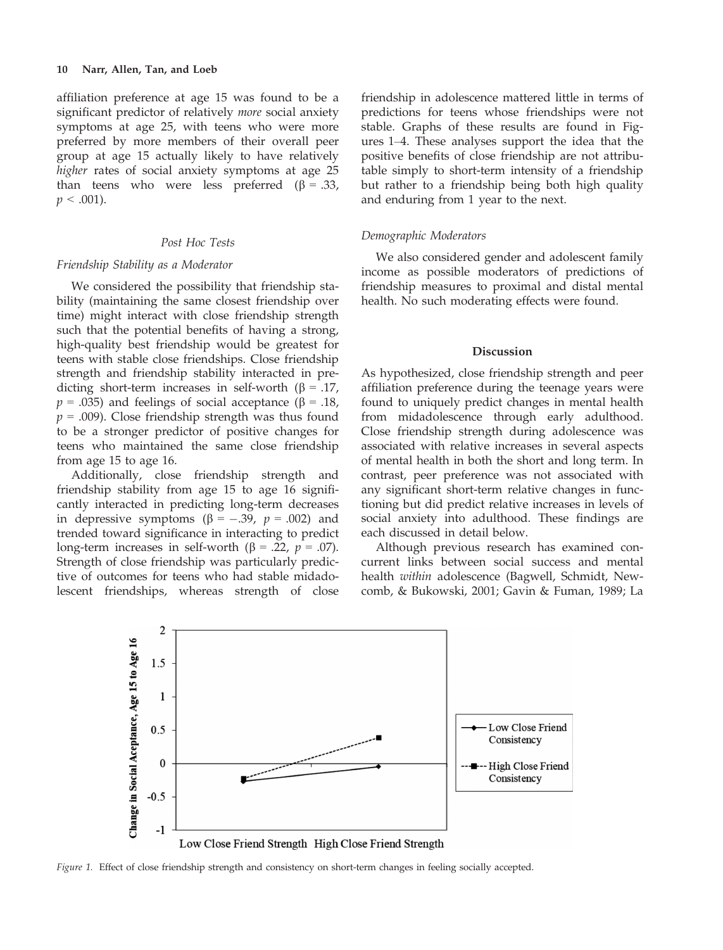affiliation preference at age 15 was found to be a significant predictor of relatively *more* social anxiety symptoms at age 25, with teens who were more preferred by more members of their overall peer group at age 15 actually likely to have relatively higher rates of social anxiety symptoms at age 25 than teens who were less preferred  $(\beta = .33)$ ,  $p < .001$ ).

#### Post Hoc Tests

#### Friendship Stability as a Moderator

We considered the possibility that friendship stability (maintaining the same closest friendship over time) might interact with close friendship strength such that the potential benefits of having a strong, high-quality best friendship would be greatest for teens with stable close friendships. Close friendship strength and friendship stability interacted in predicting short-term increases in self-worth ( $\beta = .17$ ,  $p = .035$ ) and feelings of social acceptance ( $\beta = .18$ ,  $p = .009$ ). Close friendship strength was thus found to be a stronger predictor of positive changes for teens who maintained the same close friendship from age 15 to age 16.

Additionally, close friendship strength and friendship stability from age 15 to age 16 significantly interacted in predicting long-term decreases in depressive symptoms ( $\beta = -.39$ ,  $p = .002$ ) and trended toward significance in interacting to predict long-term increases in self-worth ( $\beta$  = .22,  $p$  = .07). Strength of close friendship was particularly predictive of outcomes for teens who had stable midadolescent friendships, whereas strength of close

friendship in adolescence mattered little in terms of predictions for teens whose friendships were not stable. Graphs of these results are found in Figures 1–4. These analyses support the idea that the positive benefits of close friendship are not attributable simply to short-term intensity of a friendship but rather to a friendship being both high quality and enduring from 1 year to the next.

#### Demographic Moderators

We also considered gender and adolescent family income as possible moderators of predictions of friendship measures to proximal and distal mental health. No such moderating effects were found.

### Discussion

As hypothesized, close friendship strength and peer affiliation preference during the teenage years were found to uniquely predict changes in mental health from midadolescence through early adulthood. Close friendship strength during adolescence was associated with relative increases in several aspects of mental health in both the short and long term. In contrast, peer preference was not associated with any significant short-term relative changes in functioning but did predict relative increases in levels of social anxiety into adulthood. These findings are each discussed in detail below.

Although previous research has examined concurrent links between social success and mental health within adolescence (Bagwell, Schmidt, Newcomb, & Bukowski, 2001; Gavin & Fuman, 1989; La



Figure 1. Effect of close friendship strength and consistency on short-term changes in feeling socially accepted.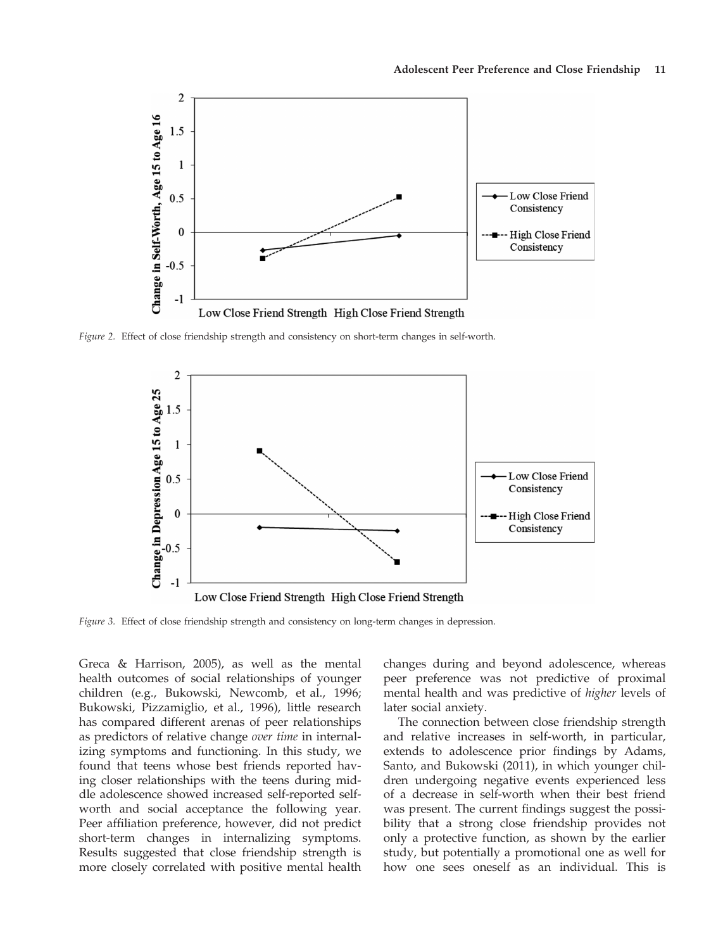

Figure 2. Effect of close friendship strength and consistency on short-term changes in self-worth.



Figure 3. Effect of close friendship strength and consistency on long-term changes in depression.

Greca & Harrison, 2005), as well as the mental health outcomes of social relationships of younger children (e.g., Bukowski, Newcomb, et al., 1996; Bukowski, Pizzamiglio, et al., 1996), little research has compared different arenas of peer relationships as predictors of relative change over time in internalizing symptoms and functioning. In this study, we found that teens whose best friends reported having closer relationships with the teens during middle adolescence showed increased self-reported selfworth and social acceptance the following year. Peer affiliation preference, however, did not predict short-term changes in internalizing symptoms. Results suggested that close friendship strength is more closely correlated with positive mental health

changes during and beyond adolescence, whereas peer preference was not predictive of proximal mental health and was predictive of higher levels of later social anxiety.

The connection between close friendship strength and relative increases in self-worth, in particular, extends to adolescence prior findings by Adams, Santo, and Bukowski (2011), in which younger children undergoing negative events experienced less of a decrease in self-worth when their best friend was present. The current findings suggest the possibility that a strong close friendship provides not only a protective function, as shown by the earlier study, but potentially a promotional one as well for how one sees oneself as an individual. This is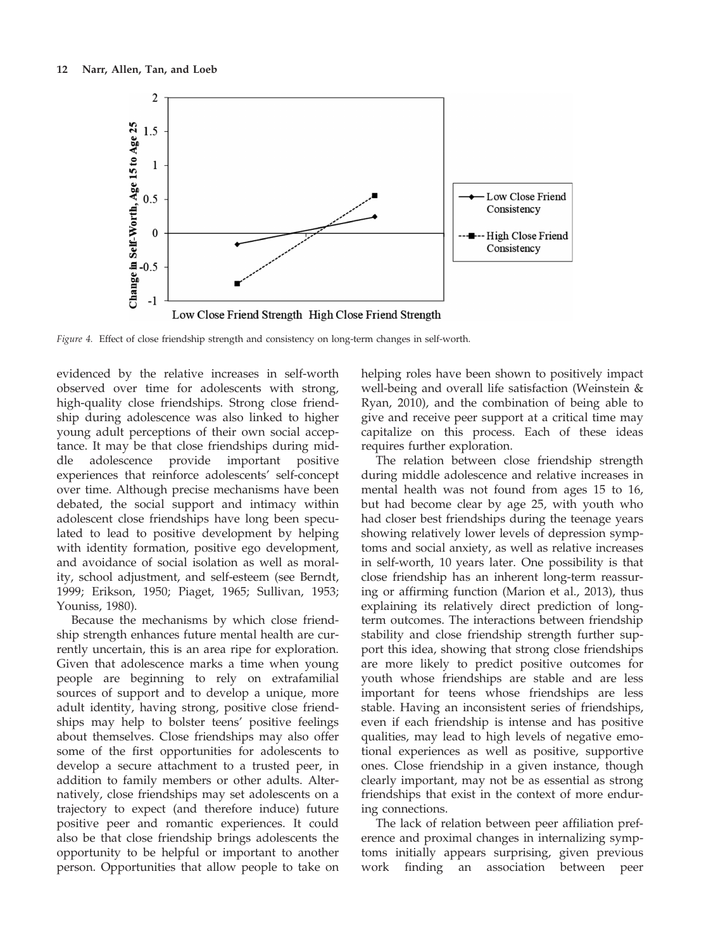

Figure 4. Effect of close friendship strength and consistency on long-term changes in self-worth.

evidenced by the relative increases in self-worth observed over time for adolescents with strong, high-quality close friendships. Strong close friendship during adolescence was also linked to higher young adult perceptions of their own social acceptance. It may be that close friendships during middle adolescence provide important positive experiences that reinforce adolescents' self-concept over time. Although precise mechanisms have been debated, the social support and intimacy within adolescent close friendships have long been speculated to lead to positive development by helping with identity formation, positive ego development, and avoidance of social isolation as well as morality, school adjustment, and self-esteem (see Berndt, 1999; Erikson, 1950; Piaget, 1965; Sullivan, 1953; Youniss, 1980).

Because the mechanisms by which close friendship strength enhances future mental health are currently uncertain, this is an area ripe for exploration. Given that adolescence marks a time when young people are beginning to rely on extrafamilial sources of support and to develop a unique, more adult identity, having strong, positive close friendships may help to bolster teens' positive feelings about themselves. Close friendships may also offer some of the first opportunities for adolescents to develop a secure attachment to a trusted peer, in addition to family members or other adults. Alternatively, close friendships may set adolescents on a trajectory to expect (and therefore induce) future positive peer and romantic experiences. It could also be that close friendship brings adolescents the opportunity to be helpful or important to another person. Opportunities that allow people to take on helping roles have been shown to positively impact well-being and overall life satisfaction (Weinstein & Ryan, 2010), and the combination of being able to give and receive peer support at a critical time may capitalize on this process. Each of these ideas requires further exploration.

The relation between close friendship strength during middle adolescence and relative increases in mental health was not found from ages 15 to 16, but had become clear by age 25, with youth who had closer best friendships during the teenage years showing relatively lower levels of depression symptoms and social anxiety, as well as relative increases in self-worth, 10 years later. One possibility is that close friendship has an inherent long-term reassuring or affirming function (Marion et al., 2013), thus explaining its relatively direct prediction of longterm outcomes. The interactions between friendship stability and close friendship strength further support this idea, showing that strong close friendships are more likely to predict positive outcomes for youth whose friendships are stable and are less important for teens whose friendships are less stable. Having an inconsistent series of friendships, even if each friendship is intense and has positive qualities, may lead to high levels of negative emotional experiences as well as positive, supportive ones. Close friendship in a given instance, though clearly important, may not be as essential as strong friendships that exist in the context of more enduring connections.

The lack of relation between peer affiliation preference and proximal changes in internalizing symptoms initially appears surprising, given previous work finding an association between peer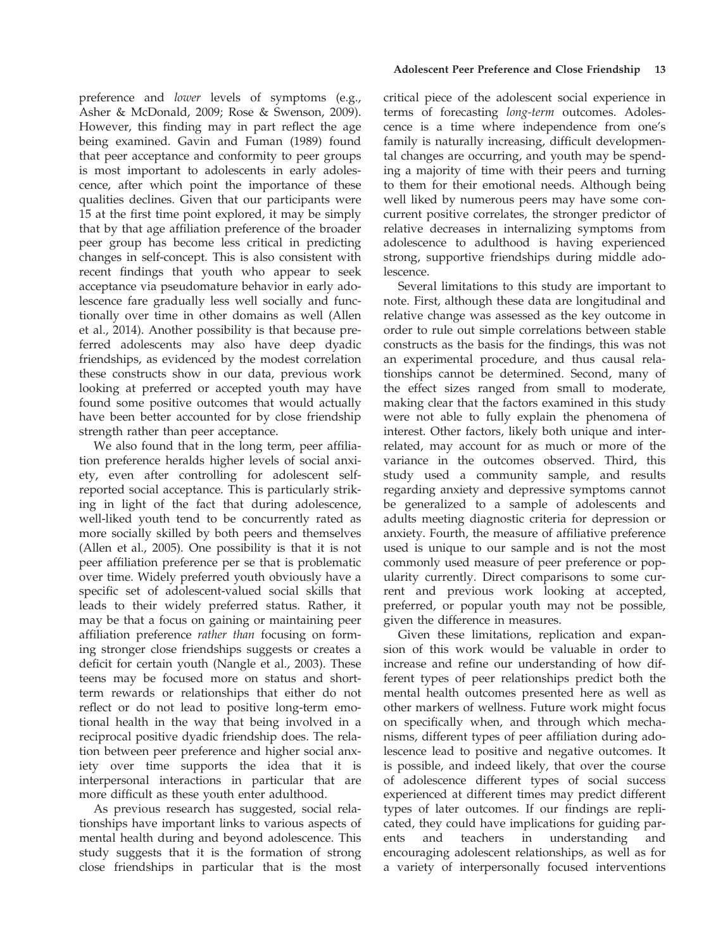preference and lower levels of symptoms (e.g., Asher & McDonald, 2009; Rose & Swenson, 2009). However, this finding may in part reflect the age being examined. Gavin and Fuman (1989) found that peer acceptance and conformity to peer groups is most important to adolescents in early adolescence, after which point the importance of these qualities declines. Given that our participants were 15 at the first time point explored, it may be simply that by that age affiliation preference of the broader peer group has become less critical in predicting changes in self-concept. This is also consistent with recent findings that youth who appear to seek acceptance via pseudomature behavior in early adolescence fare gradually less well socially and functionally over time in other domains as well (Allen et al., 2014). Another possibility is that because preferred adolescents may also have deep dyadic friendships, as evidenced by the modest correlation these constructs show in our data, previous work looking at preferred or accepted youth may have found some positive outcomes that would actually have been better accounted for by close friendship strength rather than peer acceptance.

We also found that in the long term, peer affiliation preference heralds higher levels of social anxiety, even after controlling for adolescent selfreported social acceptance. This is particularly striking in light of the fact that during adolescence, well-liked youth tend to be concurrently rated as more socially skilled by both peers and themselves (Allen et al., 2005). One possibility is that it is not peer affiliation preference per se that is problematic over time. Widely preferred youth obviously have a specific set of adolescent-valued social skills that leads to their widely preferred status. Rather, it may be that a focus on gaining or maintaining peer affiliation preference rather than focusing on forming stronger close friendships suggests or creates a deficit for certain youth (Nangle et al., 2003). These teens may be focused more on status and shortterm rewards or relationships that either do not reflect or do not lead to positive long-term emotional health in the way that being involved in a reciprocal positive dyadic friendship does. The relation between peer preference and higher social anxiety over time supports the idea that it is interpersonal interactions in particular that are more difficult as these youth enter adulthood.

As previous research has suggested, social relationships have important links to various aspects of mental health during and beyond adolescence. This study suggests that it is the formation of strong close friendships in particular that is the most

## Adolescent Peer Preference and Close Friendship 13

critical piece of the adolescent social experience in terms of forecasting long-term outcomes. Adolescence is a time where independence from one's family is naturally increasing, difficult developmental changes are occurring, and youth may be spending a majority of time with their peers and turning to them for their emotional needs. Although being well liked by numerous peers may have some concurrent positive correlates, the stronger predictor of relative decreases in internalizing symptoms from adolescence to adulthood is having experienced strong, supportive friendships during middle adolescence.

Several limitations to this study are important to note. First, although these data are longitudinal and relative change was assessed as the key outcome in order to rule out simple correlations between stable constructs as the basis for the findings, this was not an experimental procedure, and thus causal relationships cannot be determined. Second, many of the effect sizes ranged from small to moderate, making clear that the factors examined in this study were not able to fully explain the phenomena of interest. Other factors, likely both unique and interrelated, may account for as much or more of the variance in the outcomes observed. Third, this study used a community sample, and results regarding anxiety and depressive symptoms cannot be generalized to a sample of adolescents and adults meeting diagnostic criteria for depression or anxiety. Fourth, the measure of affiliative preference used is unique to our sample and is not the most commonly used measure of peer preference or popularity currently. Direct comparisons to some current and previous work looking at accepted, preferred, or popular youth may not be possible, given the difference in measures.

Given these limitations, replication and expansion of this work would be valuable in order to increase and refine our understanding of how different types of peer relationships predict both the mental health outcomes presented here as well as other markers of wellness. Future work might focus on specifically when, and through which mechanisms, different types of peer affiliation during adolescence lead to positive and negative outcomes. It is possible, and indeed likely, that over the course of adolescence different types of social success experienced at different times may predict different types of later outcomes. If our findings are replicated, they could have implications for guiding parents and teachers in understanding and encouraging adolescent relationships, as well as for a variety of interpersonally focused interventions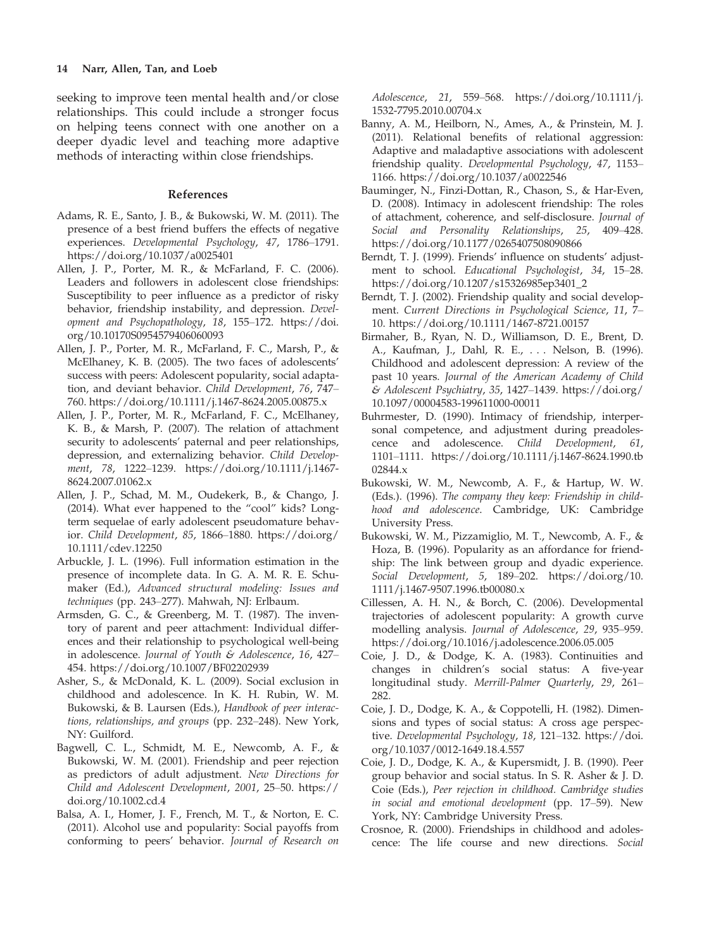seeking to improve teen mental health and/or close relationships. This could include a stronger focus on helping teens connect with one another on a deeper dyadic level and teaching more adaptive methods of interacting within close friendships.

# References

- Adams, R. E., Santo, J. B., & Bukowski, W. M. (2011). The presence of a best friend buffers the effects of negative experiences. Developmental Psychology, 47, 1786–1791. <https://doi.org/10.1037/a0025401>
- Allen, J. P., Porter, M. R., & McFarland, F. C. (2006). Leaders and followers in adolescent close friendships: Susceptibility to peer influence as a predictor of risky behavior, friendship instability, and depression. Development and Psychopathology, 18, 155–172. [https://doi.](https://doi.org/10.10170S0954579406060093) [org/10.10170S0954579406060093](https://doi.org/10.10170S0954579406060093)
- Allen, J. P., Porter, M. R., McFarland, F. C., Marsh, P., & McElhaney, K. B. (2005). The two faces of adolescents' success with peers: Adolescent popularity, social adaptation, and deviant behavior. Child Development, 76, 747– 760.<https://doi.org/10.1111/j.1467-8624.2005.00875.x>
- Allen, J. P., Porter, M. R., McFarland, F. C., McElhaney, K. B., & Marsh, P. (2007). The relation of attachment security to adolescents' paternal and peer relationships, depression, and externalizing behavior. Child Development, 78, 1222–1239. [https://doi.org/10.1111/j.1467-](https://doi.org/10.1111/j.1467-8624.2007.01062.x) [8624.2007.01062.x](https://doi.org/10.1111/j.1467-8624.2007.01062.x)
- Allen, J. P., Schad, M. M., Oudekerk, B., & Chango, J. (2014). What ever happened to the "cool" kids? Longterm sequelae of early adolescent pseudomature behavior. Child Development, 85, 1866–1880. [https://doi.org/](https://doi.org/10.1111/cdev.12250) [10.1111/cdev.12250](https://doi.org/10.1111/cdev.12250)
- Arbuckle, J. L. (1996). Full information estimation in the presence of incomplete data. In G. A. M. R. E. Schumaker (Ed.), Advanced structural modeling: Issues and techniques (pp. 243–277). Mahwah, NJ: Erlbaum.
- Armsden, G. C., & Greenberg, M. T. (1987). The inventory of parent and peer attachment: Individual differences and their relationship to psychological well-being in adolescence. Journal of Youth & Adolescence, 16, 427– 454.<https://doi.org/10.1007/BF02202939>
- Asher, S., & McDonald, K. L. (2009). Social exclusion in childhood and adolescence. In K. H. Rubin, W. M. Bukowski, & B. Laursen (Eds.), Handbook of peer interactions, relationships, and groups (pp. 232–248). New York, NY: Guilford.
- Bagwell, C. L., Schmidt, M. E., Newcomb, A. F., & Bukowski, W. M. (2001). Friendship and peer rejection as predictors of adult adjustment. New Directions for Child and Adolescent Development, 2001, 25–50. [https://](https://doi.org/10.1002.cd.4) [doi.org/10.1002.cd.4](https://doi.org/10.1002.cd.4)
- Balsa, A. I., Homer, J. F., French, M. T., & Norton, E. C. (2011). Alcohol use and popularity: Social payoffs from conforming to peers' behavior. Journal of Research on

Adolescence, 21, 559–568. [https://doi.org/10.1111/j.](https://doi.org/10.1111/j.1532-7795.2010.00704.x) [1532-7795.2010.00704.x](https://doi.org/10.1111/j.1532-7795.2010.00704.x)

- Banny, A. M., Heilborn, N., Ames, A., & Prinstein, M. J. (2011). Relational benefits of relational aggression: Adaptive and maladaptive associations with adolescent friendship quality. Developmental Psychology, 47, 1153– 1166.<https://doi.org/10.1037/a0022546>
- Bauminger, N., Finzi-Dottan, R., Chason, S., & Har-Even, D. (2008). Intimacy in adolescent friendship: The roles of attachment, coherence, and self-disclosure. Journal of Social and Personality Relationships, 25, 409–428. <https://doi.org/10.1177/0265407508090866>
- Berndt, T. J. (1999). Friends' influence on students' adjustment to school. Educational Psychologist, 34, 15–28. [https://doi.org/10.1207/s15326985ep3401\\_2](https://doi.org/10.1207/s15326985ep3401_2)
- Berndt, T. J. (2002). Friendship quality and social development. Current Directions in Psychological Science, 11, 7– 10.<https://doi.org/10.1111/1467-8721.00157>
- Birmaher, B., Ryan, N. D., Williamson, D. E., Brent, D. A., Kaufman, J., Dahl, R. E., . . . Nelson, B. (1996). Childhood and adolescent depression: A review of the past 10 years. Journal of the American Academy of Child & Adolescent Psychiatry, 35, 1427–1439. [https://doi.org/](https://doi.org/10.1097/00004583-199611000-00011) [10.1097/00004583-199611000-00011](https://doi.org/10.1097/00004583-199611000-00011)
- Buhrmester, D. (1990). Intimacy of friendship, interpersonal competence, and adjustment during preadolescence and adolescence. Child Development, 61, 1101–1111. [https://doi.org/10.1111/j.1467-8624.1990.tb](https://doi.org/10.1111/j.1467-8624.1990.tb02844.x) [02844.x](https://doi.org/10.1111/j.1467-8624.1990.tb02844.x)
- Bukowski, W. M., Newcomb, A. F., & Hartup, W. W. (Eds.). (1996). The company they keep: Friendship in childhood and adolescence. Cambridge, UK: Cambridge University Press.
- Bukowski, W. M., Pizzamiglio, M. T., Newcomb, A. F., & Hoza, B. (1996). Popularity as an affordance for friendship: The link between group and dyadic experience. Social Development, 5, 189–202. [https://doi.org/10.](https://doi.org/10.1111/j.1467-9507.1996.tb00080.x) [1111/j.1467-9507.1996.tb00080.x](https://doi.org/10.1111/j.1467-9507.1996.tb00080.x)
- Cillessen, A. H. N., & Borch, C. (2006). Developmental trajectories of adolescent popularity: A growth curve modelling analysis. Journal of Adolescence, 29, 935–959. <https://doi.org/10.1016/j.adolescence.2006.05.005>
- Coie, J. D., & Dodge, K. A. (1983). Continuities and changes in children's social status: A five-year longitudinal study. Merrill-Palmer Quarterly, 29, 261– 282.
- Coie, J. D., Dodge, K. A., & Coppotelli, H. (1982). Dimensions and types of social status: A cross age perspective. Developmental Psychology, 18, 121–132. [https://doi.](https://doi.org/10.1037/0012-1649.18.4.557) [org/10.1037/0012-1649.18.4.557](https://doi.org/10.1037/0012-1649.18.4.557)
- Coie, J. D., Dodge, K. A., & Kupersmidt, J. B. (1990). Peer group behavior and social status. In S. R. Asher & J. D. Coie (Eds.), Peer rejection in childhood. Cambridge studies in social and emotional development (pp. 17–59). New York, NY: Cambridge University Press.
- Crosnoe, R. (2000). Friendships in childhood and adolescence: The life course and new directions. Social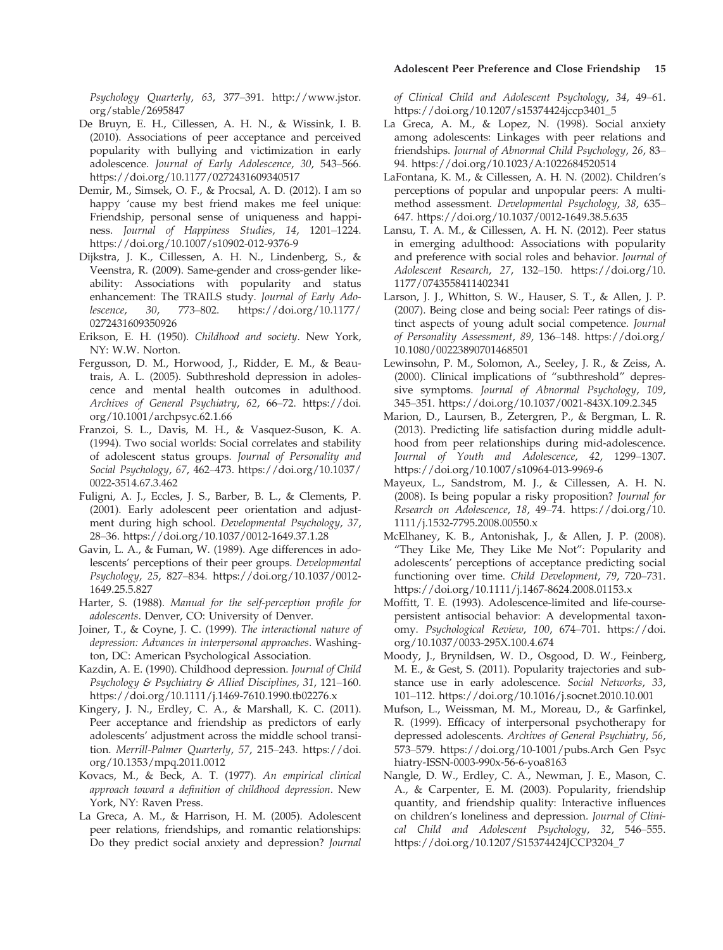Psychology Quarterly, 63, 377–391. [http://www.jstor.](http://www.jstor.org/stable/2695847) [org/stable/2695847](http://www.jstor.org/stable/2695847)

- De Bruyn, E. H., Cillessen, A. H. N., & Wissink, I. B. (2010). Associations of peer acceptance and perceived popularity with bullying and victimization in early adolescence. Journal of Early Adolescence, 30, 543–566. <https://doi.org/10.1177/0272431609340517>
- Demir, M., Simsek, O. F., & Procsal, A. D. (2012). I am so happy 'cause my best friend makes me feel unique: Friendship, personal sense of uniqueness and happiness. Journal of Happiness Studies, 14, 1201–1224. <https://doi.org/10.1007/s10902-012-9376-9>
- Dijkstra, J. K., Cillessen, A. H. N., Lindenberg, S., & Veenstra, R. (2009). Same-gender and cross-gender likeability: Associations with popularity and status enhancement: The TRAILS study. Journal of Early Adolescence, 30, 773–802. [https://doi.org/10.1177/](https://doi.org/10.1177/0272431609350926) [0272431609350926](https://doi.org/10.1177/0272431609350926)
- Erikson, E. H. (1950). Childhood and society. New York, NY: W.W. Norton.
- Fergusson, D. M., Horwood, J., Ridder, E. M., & Beautrais, A. L. (2005). Subthreshold depression in adolescence and mental health outcomes in adulthood. Archives of General Psychiatry, 62, 66–72. [https://doi.](https://doi.org/10.1001/archpsyc.62.1.66) [org/10.1001/archpsyc.62.1.66](https://doi.org/10.1001/archpsyc.62.1.66)
- Franzoi, S. L., Davis, M. H., & Vasquez-Suson, K. A. (1994). Two social worlds: Social correlates and stability of adolescent status groups. Journal of Personality and Social Psychology, 67, 462–473. [https://doi.org/10.1037/](https://doi.org/10.1037/0022-3514.67.3.462) [0022-3514.67.3.462](https://doi.org/10.1037/0022-3514.67.3.462)
- Fuligni, A. J., Eccles, J. S., Barber, B. L., & Clements, P. (2001). Early adolescent peer orientation and adjustment during high school. Developmental Psychology, 37, 28–36.<https://doi.org/10.1037/0012-1649.37.1.28>
- Gavin, L. A., & Fuman, W. (1989). Age differences in adolescents' perceptions of their peer groups. Developmental Psychology, 25, 827–834. [https://doi.org/10.1037/0012-](https://doi.org/10.1037/0012-1649.25.5.827) [1649.25.5.827](https://doi.org/10.1037/0012-1649.25.5.827)
- Harter, S. (1988). Manual for the self-perception profile for adolescents. Denver, CO: University of Denver.
- Joiner, T., & Coyne, J. C. (1999). The interactional nature of depression: Advances in interpersonal approaches. Washington, DC: American Psychological Association.
- Kazdin, A. E. (1990). Childhood depression. Journal of Child Psychology & Psychiatry & Allied Disciplines, 31, 121–160. <https://doi.org/10.1111/j.1469-7610.1990.tb02276.x>
- Kingery, J. N., Erdley, C. A., & Marshall, K. C. (2011). Peer acceptance and friendship as predictors of early adolescents' adjustment across the middle school transition. Merrill-Palmer Quarterly, 57, 215–243. [https://doi.](https://doi.org/10.1353/mpq.2011.0012) [org/10.1353/mpq.2011.0012](https://doi.org/10.1353/mpq.2011.0012)
- Kovacs, M., & Beck, A. T. (1977). An empirical clinical approach toward a definition of childhood depression. New York, NY: Raven Press.
- La Greca, A. M., & Harrison, H. M. (2005). Adolescent peer relations, friendships, and romantic relationships: Do they predict social anxiety and depression? Journal

of Clinical Child and Adolescent Psychology, 34, 49–61. [https://doi.org/10.1207/s15374424jccp3401\\_5](https://doi.org/10.1207/s15374424jccp3401_5)

- La Greca, A. M., & Lopez, N. (1998). Social anxiety among adolescents: Linkages with peer relations and friendships. Journal of Abnormal Child Psychology, 26, 83– 94.<https://doi.org/10.1023/A:1022684520514>
- LaFontana, K. M., & Cillessen, A. H. N. (2002). Children's perceptions of popular and unpopular peers: A multimethod assessment. Developmental Psychology, 38, 635– 647.<https://doi.org/10.1037/0012-1649.38.5.635>
- Lansu, T. A. M., & Cillessen, A. H. N. (2012). Peer status in emerging adulthood: Associations with popularity and preference with social roles and behavior. Journal of Adolescent Research, 27, 132–150. [https://doi.org/10.](https://doi.org/10.1177/0743558411402341) [1177/0743558411402341](https://doi.org/10.1177/0743558411402341)
- Larson, J. J., Whitton, S. W., Hauser, S. T., & Allen, J. P. (2007). Being close and being social: Peer ratings of distinct aspects of young adult social competence. Journal of Personality Assessment, 89, 136–148. [https://doi.org/](https://doi.org/10.1080/00223890701468501) [10.1080/00223890701468501](https://doi.org/10.1080/00223890701468501)
- Lewinsohn, P. M., Solomon, A., Seeley, J. R., & Zeiss, A. (2000). Clinical implications of "subthreshold" depressive symptoms. Journal of Abnormal Psychology, 109, 345–351.<https://doi.org/10.1037/0021-843X.109.2.345>
- Marion, D., Laursen, B., Zetergren, P., & Bergman, L. R. (2013). Predicting life satisfaction during middle adulthood from peer relationships during mid-adolescence. Journal of Youth and Adolescence, 42, 1299–1307. <https://doi.org/10.1007/s10964-013-9969-6>
- Mayeux, L., Sandstrom, M. J., & Cillessen, A. H. N. (2008). Is being popular a risky proposition? Journal for Research on Adolescence, 18, 49–74. [https://doi.org/10.](https://doi.org/10.1111/j.1532-7795.2008.00550.x) [1111/j.1532-7795.2008.00550.x](https://doi.org/10.1111/j.1532-7795.2008.00550.x)
- McElhaney, K. B., Antonishak, J., & Allen, J. P. (2008). "They Like Me, They Like Me Not": Popularity and adolescents' perceptions of acceptance predicting social functioning over time. Child Development, 79, 720–731. <https://doi.org/10.1111/j.1467-8624.2008.01153.x>
- Moffitt, T. E. (1993). Adolescence-limited and life-coursepersistent antisocial behavior: A developmental taxonomy. Psychological Review, 100, 674–701. [https://doi.](https://doi.org/10.1037/0033-295X.100.4.674) [org/10.1037/0033-295X.100.4.674](https://doi.org/10.1037/0033-295X.100.4.674)
- Moody, J., Brynildsen, W. D., Osgood, D. W., Feinberg, M. E., & Gest, S. (2011). Popularity trajectories and substance use in early adolescence. Social Networks, 33, 101–112.<https://doi.org/10.1016/j.socnet.2010.10.001>
- Mufson, L., Weissman, M. M., Moreau, D., & Garfinkel, R. (1999). Efficacy of interpersonal psychotherapy for depressed adolescents. Archives of General Psychiatry, 56, 573–579. [https://doi.org/10-1001/pubs.Arch Gen Psyc](https://doi.org/10-1001/pubs.Arch Gen Psychiatry-ISSN-0003-990x-56-6-yoa8163) [hiatry-ISSN-0003-990x-56-6-yoa8163](https://doi.org/10-1001/pubs.Arch Gen Psychiatry-ISSN-0003-990x-56-6-yoa8163)
- Nangle, D. W., Erdley, C. A., Newman, J. E., Mason, C. A., & Carpenter, E. M. (2003). Popularity, friendship quantity, and friendship quality: Interactive influences on children's loneliness and depression. Journal of Clinical Child and Adolescent Psychology, 32, 546–555. [https://doi.org/10.1207/S15374424JCCP3204\\_7](https://doi.org/10.1207/S15374424JCCP3204_7)